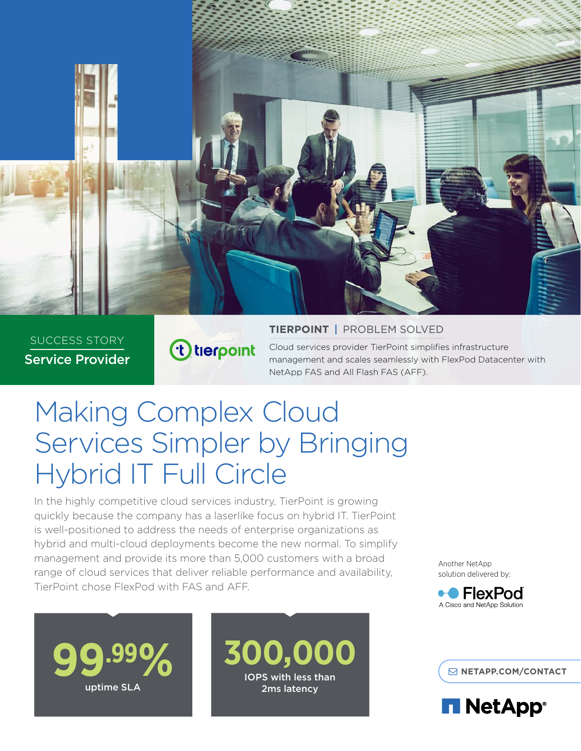

SUCCESS STORY Service Provider

# t tierpoint

#### **TIERPOINT** | PROBLEM SOLVED

Cloud services provider TierPoint simplifies infrastructure management and scales seamlessly with FlexPod Datacenter with NetApp FAS and All Flash FAS (AFF).

# Making Complex Cloud Services Simpler by Bringing Hybrid IT Full Circle

In the highly competitive cloud services industry, TierPoint is growing quickly because the company has a laserlike focus on hybrid IT. TierPoint is well-positioned to address the needs of enterprise organizations as hybrid and multi-cloud deployments become the new normal. To simplify management and provide its more than 5,000 customers with a broad range of cloud services that deliver reliable performance and availability, TierPoint chose FlexPod with FAS and AFF.

Another NetApp solution delivered by:





**999% 300,000 EXPERIMENTACT** IOPS with less than 2ms latency

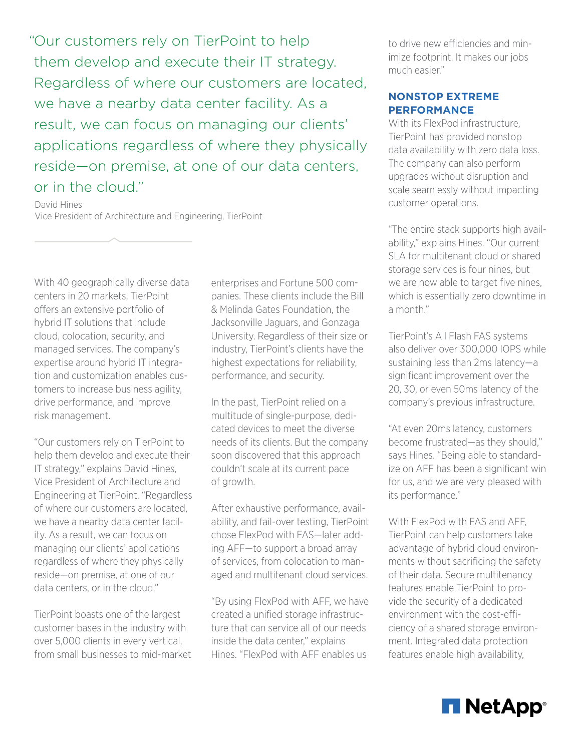"Our customers rely on TierPoint to help them develop and execute their IT strategy. Regardless of where our customers are located, we have a nearby data center facility. As a result, we can focus on managing our clients' applications regardless of where they physically reside—on premise, at one of our data centers, or in the cloud."

David Hines Vice President of Architecture and Engineering, TierPoint

With 40 geographically diverse data centers in 20 markets, TierPoint offers an extensive portfolio of hybrid IT solutions that include cloud, colocation, security, and managed services. The company's expertise around hybrid IT integration and customization enables customers to increase business agility, drive performance, and improve risk management.

"Our customers rely on TierPoint to help them develop and execute their IT strategy," explains David Hines, Vice President of Architecture and Engineering at TierPoint. "Regardless of where our customers are located, we have a nearby data center facility. As a result, we can focus on managing our clients' applications regardless of where they physically reside—on premise, at one of our data centers, or in the cloud."

TierPoint boasts one of the largest customer bases in the industry with over 5,000 clients in every vertical, from small businesses to mid-market enterprises and Fortune 500 companies. These clients include the Bill & Melinda Gates Foundation, the Jacksonville Jaguars, and Gonzaga University. Regardless of their size or industry, TierPoint's clients have the highest expectations for reliability, performance, and security.

In the past, TierPoint relied on a multitude of single-purpose, dedicated devices to meet the diverse needs of its clients. But the company soon discovered that this approach couldn't scale at its current pace of growth.

After exhaustive performance, availability, and fail-over testing, TierPoint chose FlexPod with FAS—later adding AFF—to support a broad array of services, from colocation to managed and multitenant cloud services.

"By using FlexPod with AFF, we have created a unified storage infrastructure that can service all of our needs inside the data center," explains Hines. "FlexPod with AFF enables us

to drive new efficiencies and minimize footprint. It makes our jobs much easier."

### **NONSTOP EXTREME PERFORMANCE**

With its FlexPod infrastructure, TierPoint has provided nonstop data availability with zero data loss. The company can also perform upgrades without disruption and scale seamlessly without impacting customer operations.

"The entire stack supports high availability," explains Hines. "Our current SLA for multitenant cloud or shared storage services is four nines, but we are now able to target five nines, which is essentially zero downtime in a month."

TierPoint's All Flash FAS systems also deliver over 300,000 IOPS while sustaining less than 2ms latency—a significant improvement over the 20, 30, or even 50ms latency of the company's previous infrastructure.

"At even 20ms latency, customers become frustrated—as they should," says Hines. "Being able to standardize on AFF has been a significant win for us, and we are very pleased with its performance."

With FlexPod with FAS and AFF, TierPoint can help customers take advantage of hybrid cloud environments without sacrificing the safety of their data. Secure multitenancy features enable TierPoint to provide the security of a dedicated environment with the cost-efficiency of a shared storage environment. Integrated data protection features enable high availability,